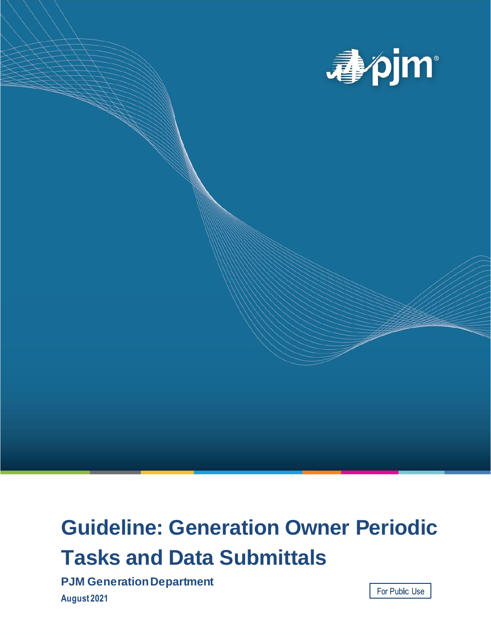

# **Guideline: Generation Owner Periodic Tasks and Data Submittals**

**PJM Generation Department August 2021**

For Public Use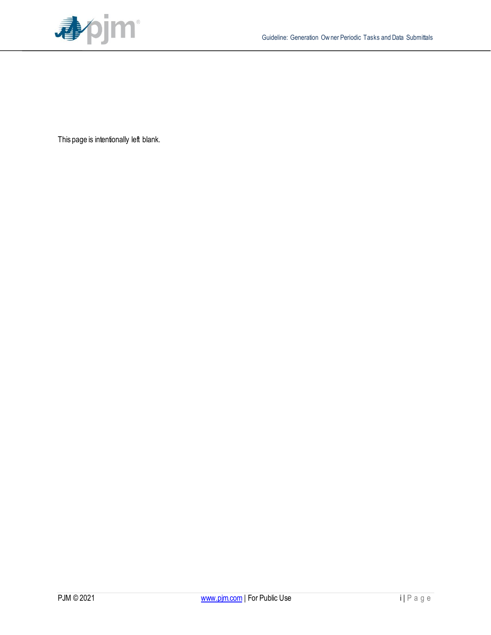

This page is intentionally left blank.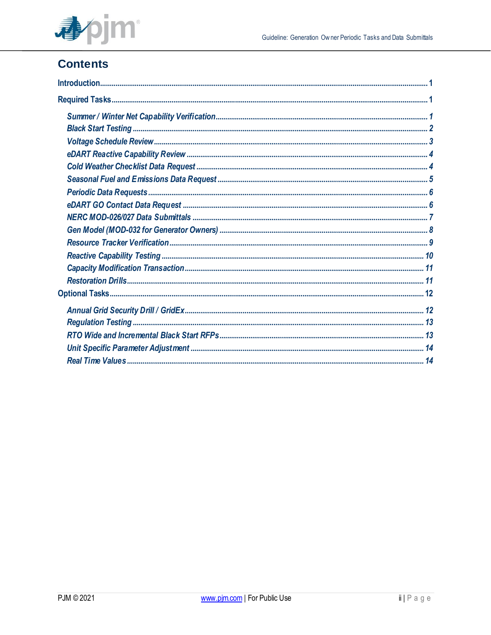

# **Contents**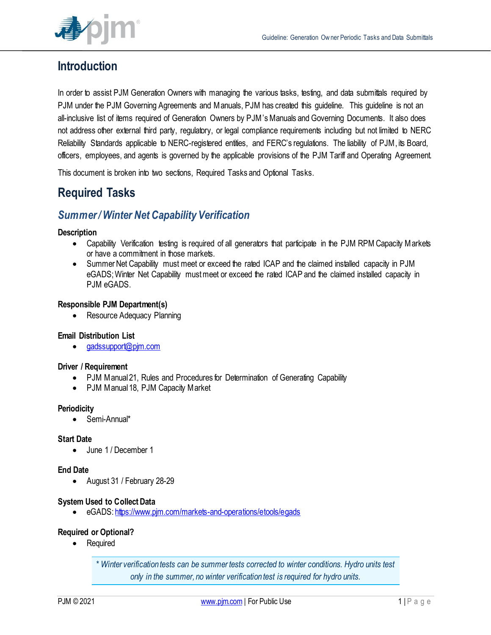

# <span id="page-3-0"></span>**Introduction**

<span id="page-3-1"></span>In order to assist PJM Generation Owners with managing the various tasks, testing, and data submittals required by PJM under the PJM Governing Agreements and Manuals, PJM has created this guideline. This guideline is not an all-inclusive list of items required of Generation Owners by PJM's Manuals and Governing Documents. It also does not address other external third party, regulatory, or legal compliance requirements including but not limited to NERC Reliability Standards applicable to NERC-registered entities, and FERC's regulations. The liability of PJM, its Board, officers, employees, and agents is governed by the applicable provisions of the PJM Tariff and Operating Agreement.

This document is broken into two sections, Required Tasks and Optional Tasks.

# **Required Tasks**

# <span id="page-3-2"></span>*Summer / Winter Net Capability Verification*

#### **Description**

- Capability Verification testing is required of all generators that participate in the PJM RPM Capacity Markets or have a commitment in those markets.
- Summer Net Capability must meet or exceed the rated ICAP and the claimed installed capacity in PJM eGADS; Winter Net Capability must meet or exceed the rated ICAP and the claimed installed capacity in PJM eGADS.

#### **Responsible PJM Department(s)**

• Resource Adequacy Planning

#### **Email Distribution List**

• [gadssupport@pjm.com](mailto:gadssupport@pjm.com)

#### **Driver / Requirement**

- PJM Manual 21, Rules and Procedures for Determination of Generating Capability
- PJM Manual 18, PJM Capacity Market

#### **Periodicity**

Semi-Annual\*

#### **Start Date**

• June 1 / December 1

#### **End Date**

• August 31 / February 28-29

#### **System Used to Collect Data**

eGADS[: https://www.pjm.com/markets-and-operations/etools/egads](https://www.pjm.com/markets-and-operations/etools/egads)

#### **Required or Optional?**

Required

*\* Winter verification tests can be summer tests corrected to winter conditions. Hydro units test only in the summer, no winter verification test is required for hydro units.*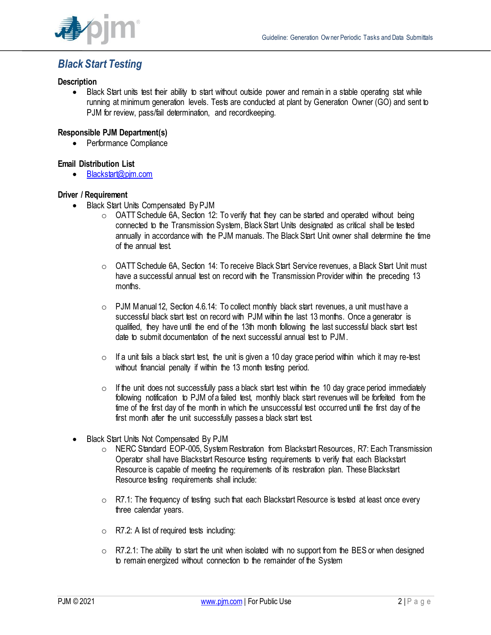

# <span id="page-4-0"></span>*Black Start Testing*

#### **Description**

Black Start units test their ability to start without outside power and remain in a stable operating stat while running at minimum generation levels. Tests are conducted at plant by Generation Owner (GO) and sent to PJM for review, pass/fail determination, and recordkeeping.

#### **Responsible PJM Department(s)**

• Performance Compliance

#### **Email Distribution List**

• Blackstart@pim.com

#### **Driver / Requirement**

- Black Start Units Compensated By PJM
	- $\circ$  OATT Schedule 6A, Section 12: To verify that they can be started and operated without being connected to the Transmission System, Black Start Units designated as critical shall be tested annually in accordance with the PJM manuals. The Black Start Unit owner shall determine the time of the annual test.
	- $\circ$  OATT Schedule 6A, Section 14: To receive Black Start Service revenues, a Black Start Unit must have a successful annual test on record with the Transmission Provider within the preceding 13 months.
	- $\circ$  PJM Manual 12, Section 4.6.14: To collect monthly black start revenues, a unit must have a successful black start test on record with PJM within the last 13 months. Once a generator is qualified, they have until the end of the 13th month following the last successful black start test date to submit documentation of the next successful annual test to PJM.
	- $\circ$  If a unit fails a black start test, the unit is given a 10 day grace period within which it may re-test without financial penalty if within the 13 month testing period.
	- $\circ$  If the unit does not successfully pass a black start test within the 10 day grace period immediately following notification to PJM of a failed test, monthly black start revenues will be forfeited from the time of the first day of the month in which the unsuccessful test occurred until the first day of the first month after the unit successfully passes a black start test.
- Black Start Units Not Compensated By PJM
	- o NERC Standard EOP-005, System Restoration from Blackstart Resources, R7: Each Transmission Operator shall have Blackstart Resource testing requirements to verify that each Blackstart Resource is capable of meeting the requirements of its restoration plan. These Blackstart Resource testing requirements shall include:
	- $\circ$  R7.1: The frequency of testing such that each Blackstart Resource is tested at least once every three calendar years.
	- $\circ$  R7.2: A list of required tests including:
	- $\circ$  R7.2.1: The ability to start the unit when isolated with no support from the BES or when designed to remain energized without connection to the remainder of the System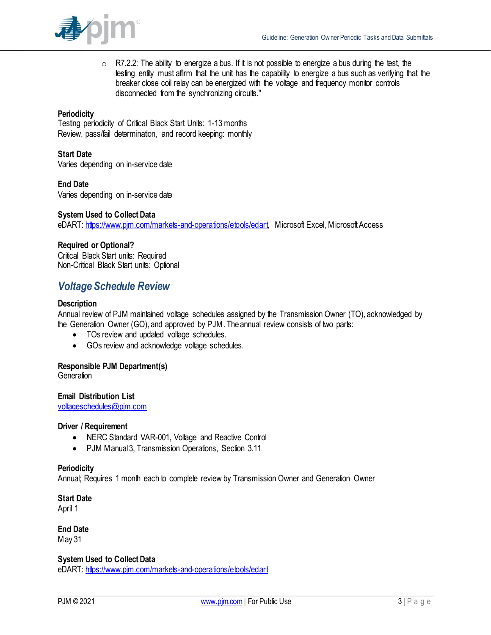$\circ$  R7.2.2: The ability to energize a bus. If it is not possible to energize a bus during the test, the testing entity must affirm that the unit has the capability to energize a bus such as verifying that the breaker close coil relay can be energized with the voltage and frequency monitor controls disconnected from the synchronizing circuits."

#### **Periodicity**

Testing periodicity of Critical Black Start Units: 1-13 months Review, pass/fail determination, and record keeping: monthly

#### **Start Date**

Varies depending on in-service date

#### **End Date**

Varies depending on in-service date

#### **System Used to Collect Data**

eDART: [https://www.pjm.com/markets-and-operations/etools/edart,](https://www.pjm.com/markets-and-operations/etools/edart) Microsoft Excel, Microsoft Access

#### **Required or Optional?**

Critical Black Start units: Required Non-Critical Black Start units: Optional

### <span id="page-5-0"></span>*Voltage Schedule Review*

#### **Description**

Annual review of PJM maintained voltage schedules assigned by the Transmission Owner (TO), acknowledged by the Generation Owner (GO), and approved by PJM. The annual review consists of two parts:

- TOs review and updated voltage schedules.
- GOs review and acknowledge voltage schedules.

#### **Responsible PJM Department(s)**

**Generation** 

#### **Email Distribution List**

[voltageschedules@pjm.com](mailto:voltageschedules@pjm.com)

#### **Driver / Requirement**

- NERC Standard VAR-001, Voltage and Reactive Control
- PJM Manual 3, Transmission Operations, Section 3.11

#### **Periodicity**

Annual; Requires 1 month each to complete review by Transmission Owner and Generation Owner

**Start Date** April 1

**End Date** May 31

#### **System Used to Collect Data**

eDART[: https://www.pjm.com/markets-and-operations/etools/edart](https://www.pjm.com/markets-and-operations/etools/edart)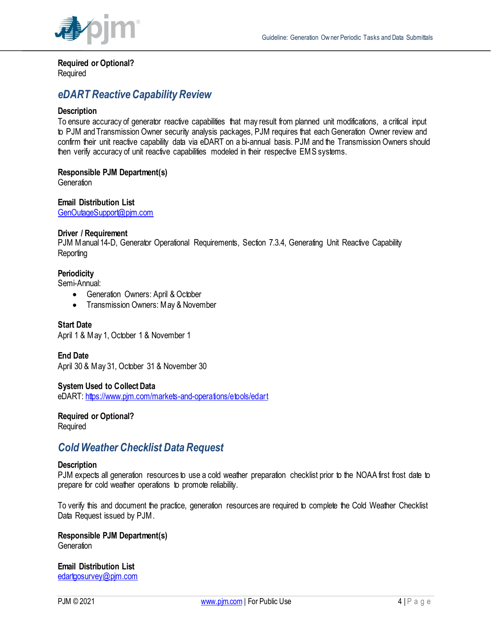

**Required or Optional?** Required

# <span id="page-6-0"></span>*eDART Reactive Capability Review*

#### **Description**

To ensure accuracy of generator reactive capabilities that may result from planned unit modifications, a critical input to PJM and Transmission Owner security analysis packages, PJM requires that each Generation Owner review and confirm their unit reactive capability data via eDART on a bi-annual basis. PJM and the Transmission Owners should then verify accuracy of unit reactive capabilities modeled in their respective EMS systems.

**Responsible PJM Department(s)**

**Generation** 

**Email Distribution List** [GenOutageSupport@pjm.com](mailto:GenOutageSupport@pjm.com)

#### **Driver / Requirement**

PJM Manual 14-D, Generator Operational Requirements, Section 7.3.4, Generating Unit Reactive Capability **Reporting** 

#### **Periodicity**

Semi-Annual:

- Generation Owners: April & October
- Transmission Owners: May & November

**Start Date** April 1 & May 1, October 1 & November 1

**End Date** April 30 & May 31, October 31 & November 30

#### **System Used to Collect Data**

eDART[: https://www.pjm.com/markets-and-operations/etools/edart](https://www.pjm.com/markets-and-operations/etools/edart)

**Required or Optional?** Required

### <span id="page-6-1"></span>*Cold Weather Checklist Data Request*

#### **Description**

PJM expects all generation resources to use a cold weather preparation checklist prior to the NOAA first frost date to prepare for cold weather operations to promote reliability.

To verify this and document the practice, generation resources are required to complete the Cold Weather Checklist Data Request issued by PJM.

**Responsible PJM Department(s) Generation** 

**Email Distribution List** [edartgosurvey@pjm.com](mailto:edartgosurvey@pjm.com)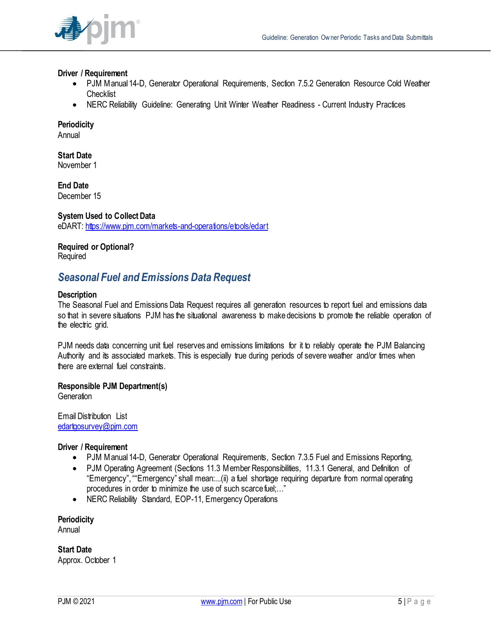

#### **Driver / Requirement**

- PJM Manual 14-D, Generator Operational Requirements, Section 7.5.2 Generation Resource Cold Weather **Checklist**
- NERC Reliability Guideline: Generating Unit Winter Weather Readiness Current Industry Practices

#### **Periodicity**

Annual

**Start Date** November 1

**End Date** December 15

**System Used to Collect Data** eDART[: https://www.pjm.com/markets-and-operations/etools/edart](https://www.pjm.com/markets-and-operations/etools/edart)

#### **Required or Optional?**

<span id="page-7-0"></span>Required

# *Seasonal Fuel and Emissions Data Request*

#### **Description**

The Seasonal Fuel and Emissions Data Request requires all generation resources to report fuel and emissions data so that in severe situations PJM has the situational awareness to make decisions to promote the reliable operation of the electric grid.

PJM needs data concerning unit fuel reserves and emissions limitations for it to reliably operate the PJM Balancing Authority and its associated markets. This is especially true during periods of severe weather and/or times when there are external fuel constraints.

#### **Responsible PJM Department(s)**

**Generation** 

Email Distribution List [edartgosurvey@pjm.com](mailto:edartgosurvey@pjm.com)

#### **Driver / Requirement**

- PJM Manual 14-D, Generator Operational Requirements, Section 7.3.5 Fuel and Emissions Reporting,
- PJM Operating Agreement (Sections 11.3 Member Responsibilities, 11.3.1 General, and Definition of "Emergency", ""Emergency" shall mean:...(ii) a fuel shortage requiring departure from normal operating procedures in order to minimize the use of such scarce fuel;…"
- NERC Reliability Standard, EOP-11, Emergency Operations

**Periodicity**

Annual

**Start Date** Approx. October 1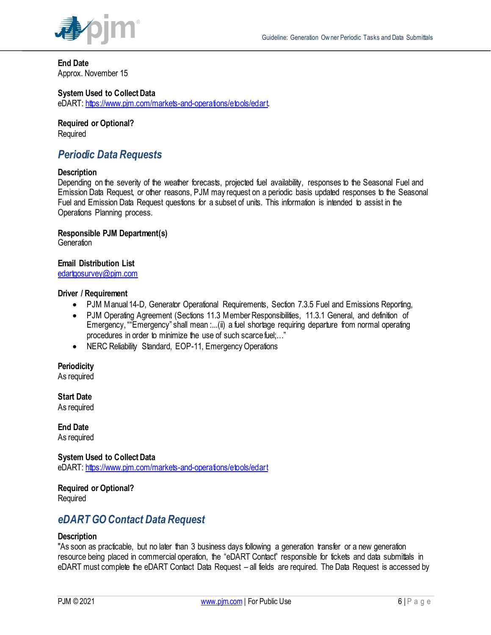

**End Date** Approx. November 15

#### **System Used to Collect Data**

eDART[: https://www.pjm.com/markets-and-operations/etools/edart.](https://www.pjm.com/markets-and-operations/etools/edart)

**Required or Optional? Required** 

### <span id="page-8-0"></span>*Periodic Data Requests*

#### **Description**

Depending on the severity of the weather forecasts, projected fuel availability, responses to the Seasonal Fuel and Emission Data Request, or other reasons, PJM may request on a periodic basis updated responses to the Seasonal Fuel and Emission Data Request questions for a subset of units. This information is intended to assist in the Operations Planning process.

**Responsible PJM Department(s)**

**Generation** 

#### **Email Distribution List**

[edartgosurvey@pjm.com](mailto:edartgosurvey@pjm.com)

#### **Driver / Requirement**

- PJM Manual 14-D, Generator Operational Requirements, Section 7.3.5 Fuel and Emissions Reporting,
- PJM Operating Agreement (Sections 11.3 Member Responsibilities, 11.3.1 General, and definition of Emergency, ""Emergency" shall mean :...(ii) a fuel shortage requiring departure from normal operating procedures in order to minimize the use of such scarce fuel;…"
- NERC Reliability Standard, EOP-11, Emergency Operations

**Periodicity** As required

**Start Date** As required

**End Date** As required

**System Used to Collect Data** eDART[: https://www.pjm.com/markets-and-operations/etools/edart](https://www.pjm.com/markets-and-operations/etools/edart)

#### **Required or Optional?**

<span id="page-8-1"></span>Required

# *eDART GO Contact Data Request*

#### **Description**

"As soon as practicable, but no later than 3 business days following a generation transfer or a new generation resource being placed in commercial operation, the "eDART Contact" responsible for tickets and data submittals in eDART must complete the eDART Contact Data Request – all fields are required. The Data Request is accessed by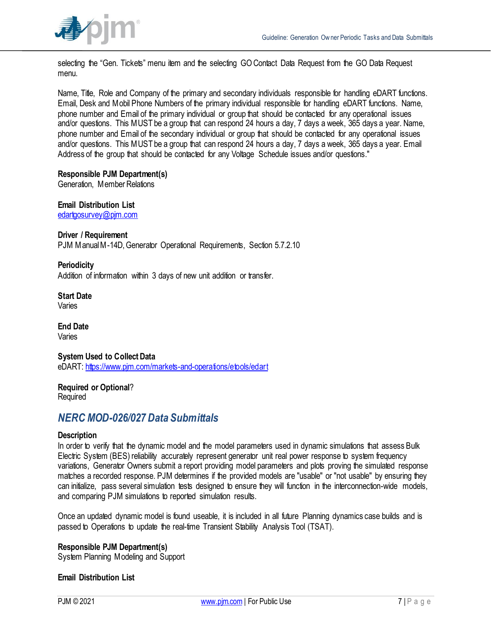

selecting the "Gen. Tickets" menu item and the selecting GO Contact Data Request from the GO Data Request menu.

Name, Title, Role and Company of the primary and secondary individuals responsible for handling eDART functions. Email, Desk and Mobil Phone Numbers of the primary individual responsible for handling eDART functions. Name, phone number and Email of the primary individual or group that should be contacted for any operational issues and/or questions. This MUST be a group that can respond 24 hours a day, 7 days a week, 365 days a year. Name, phone number and Email of the secondary individual or group that should be contacted for any operational issues and/or questions. This MUST be a group that can respond 24 hours a day, 7 days a week, 365 days a year. Email Address of the group that should be contacted for any Voltage Schedule issues and/or questions."

**Responsible PJM Department(s)** Generation, Member Relations

**Email Distribution List** edartgosurvey@pim.com

**Driver / Requirement** PJM Manual M-14D, Generator Operational Requirements, Section 5.7.2.10

**Periodicity** Addition of information within 3 days of new unit addition or transfer.

**Start Date** Varies

**End Date** Varies

**System Used to Collect Data** eDART[: https://www.pjm.com/markets-and-operations/etools/edart](https://www.pjm.com/markets-and-operations/etools/edart)

**Required or Optional**? Required

# <span id="page-9-0"></span>*NERC MOD-026/027 Data Submittals*

#### **Description**

In order to verify that the dynamic model and the model parameters used in dynamic simulations that assess Bulk Electric System (BES) reliability accurately represent generator unit real power response to system frequency variations, Generator Owners submit a report providing model parameters and plots proving the simulated response matches a recorded response. PJM determines if the provided models are "usable" or "not usable" by ensuring they can initialize, pass several simulation tests designed to ensure they will function in the interconnection-wide models, and comparing PJM simulations to reported simulation results.

Once an updated dynamic model is found useable, it is included in all future Planning dynamics case builds and is passed to Operations to update the real-time Transient Stability Analysis Tool (TSAT).

#### **Responsible PJM Department(s)**

System Planning Modeling and Support

**Email Distribution List**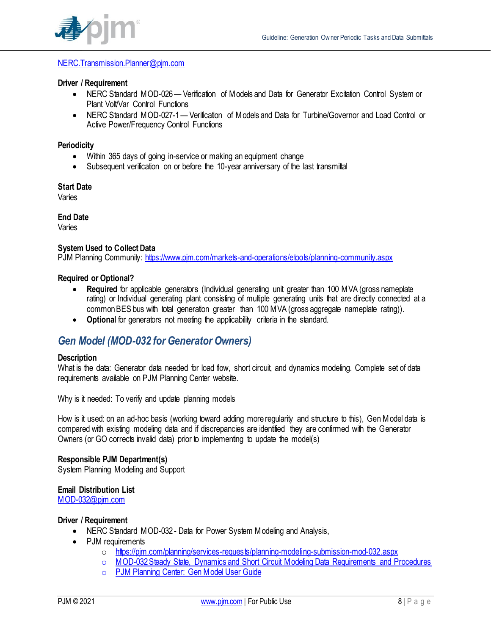

#### [NERC.Transmission.Planner@pjm.com](mailto:NERC.Transmission.Planner@pjm.com)

#### **Driver / Requirement**

- NERC Standard MOD-026 Verification of Models and Data for Generator Excitation Control System or Plant Volt/Var Control Functions
- NERC Standard MOD-027-1 Verification of Models and Data for Turbine/Governor and Load Control or Active Power/Frequency Control Functions

#### **Periodicity**

- Within 365 days of going in-service or making an equipment change
- Subsequent verification on or before the 10-year anniversary of the last transmittal

#### **Start Date**

Varies

#### **End Date**

Varies

#### **System Used to Collect Data**

PJM Planning Community:<https://www.pjm.com/markets-and-operations/etools/planning-community.aspx>

#### **Required or Optional?**

- **•** Required for applicable generators (Individual generating unit greater than 100 MVA (gross nameplate rating) or Individual generating plant consisting of multiple generating units that are directly connected at a common BES bus with total generation greater than 100 MVA (gross aggregate nameplate rating)).
- **Optional** for generators not meeting the applicability criteria in the standard.

# <span id="page-10-0"></span>*Gen Model (MOD-032 for Generator Owners)*

#### **Description**

What is the data: Generator data needed for load flow, short circuit, and dynamics modeling. Complete set of data requirements available on PJM Planning Center website.

Why is it needed: To verify and update planning models

How is it used: on an ad-hoc basis (working toward adding more regularity and structure to this), Gen Model data is compared with existing modeling data and if discrepancies are identified they are confirmed with the Generator Owners (or GO corrects invalid data) prior to implementing to update the model(s)

#### **Responsible PJM Department(s)**

System Planning Modeling and Support

#### **Email Distribution List**

[MOD-032@pjm.com](mailto:MOD-032@pjm.com)

#### **Driver / Requirement**

- NERC Standard MOD-032 Data for Power System Modeling and Analysis,
- PJM requirements
	- o <https://pjm.com/planning/services-requests/planning-modeling-submission-mod-032.aspx>
	- o [MOD-032 Steady State, Dynamics and Short Circuit Modeling Data Requirements and Procedures](https://www.pjm.com/-/media/planning/rtep-dev/powerflow-cases/20150630-mod-032-ss-dynamics-sc-data-requirements-reporting-procedures-v1.ashx)
	- o [PJM Planning Center: Gen Model User Guide](https://www.pjm.com/~/media/etools/planning-center/gen-model-user-guide.ashx)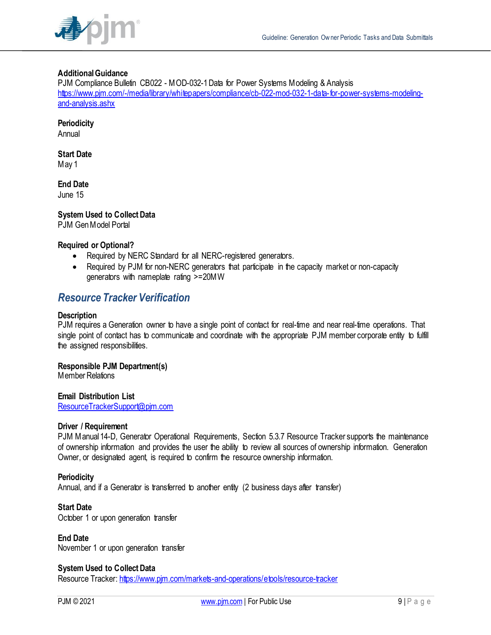

#### **Additional Guidance**

PJM Compliance Bulletin CB022 - MOD-032-1 Data for Power Systems Modeling & Analysis [https://www.pjm.com/-/media/library/whitepapers/compliance/cb-022-mod-032-1-data-for-power-systems-modeling](https://www.pjm.com/-/media/library/whitepapers/compliance/cb-022-mod-032-1-data-for-power-systems-modeling-and-analysis.ashx)[and-analysis.ashx](https://www.pjm.com/-/media/library/whitepapers/compliance/cb-022-mod-032-1-data-for-power-systems-modeling-and-analysis.ashx)

**Periodicity**

Annual

**Start Date** May 1

**End Date** June 15

**System Used to Collect Data** PJM Gen Model Portal

#### **Required or Optional?**

- Required by NERC Standard for all NERC-registered generators.
- Required by PJM for non-NERC generators that participate in the capacity market or non-capacity generators with nameplate rating >=20MW

## <span id="page-11-0"></span>*Resource Tracker Verification*

#### **Description**

PJM requires a Generation owner to have a single point of contact for real-time and near real-time operations. That single point of contact has to communicate and coordinate with the appropriate PJM member corporate entity to fulfill the assigned responsibilities.

#### **Responsible PJM Department(s)**

Member Relations

**Email Distribution List**

[ResourceTrackerSupport@pjm.com](mailto:ResourceTrackerSupport@pjm.com)

#### **Driver / Requirement**

PJM Manual 14-D, Generator Operational Requirements, Section 5.3.7 Resource Tracker supports the maintenance of ownership information and provides the user the ability to review all sources of ownership information. Generation Owner, or designated agent, is required to confirm the resource ownership information.

#### **Periodicity**

Annual, and if a Generator is transferred to another entity (2 business days after transfer)

**Start Date**

October 1 or upon generation transfer

#### **End Date**

November 1 or upon generation transfer

#### **System Used to Collect Data**

Resource Tracker[: https://www.pjm.com/markets-and-operations/etools/resource-tracker](https://www.pjm.com/markets-and-operations/etools/resource-tracker)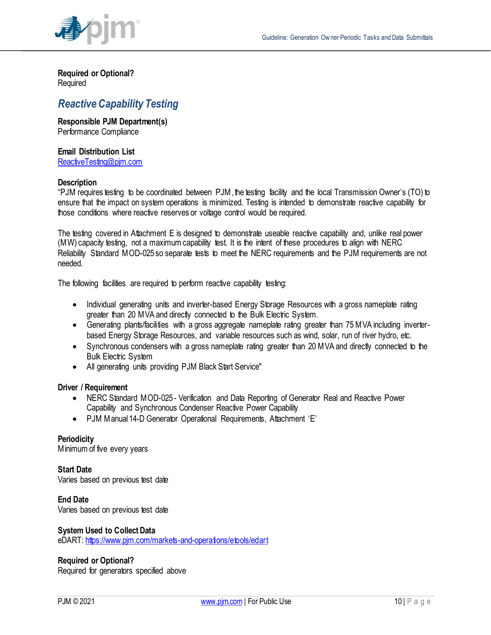

**Required or Optional?** Required

### <span id="page-12-0"></span>*Reactive Capability Testing*

**Responsible PJM Department(s)** Performance Compliance

# **Email Distribution List**

[ReactiveTesting@pjm.com](mailto:ReactiveTesting@pjm.com)

#### **Description**

"PJM requires testing to be coordinated between PJM, the testing facility and the local Transmission Owner's (TO) to ensure that the impact on system operations is minimized. Testing is intended to demonstrate reactive capability for those conditions where reactive reserves or voltage control would be required.

The testing covered in Attachment E is designed to demonstrate useable reactive capability and, unlike real power (MW) capacity testing, not a maximum capability test. It is the intent of these procedures to align with NERC Reliability Standard MOD-025 so separate tests to meet the NERC requirements and the PJM requirements are not needed.

The following facilities are required to perform reactive capability testing:

- Individual generating units and inverter-based Energy Storage Resources with a gross nameplate rating greater than 20 MVA and directly connected to the Bulk Electric System.
- Generating plants/facilities with a gross aggregate nameplate rating greater than 75 MVA including inverterbased Energy Storage Resources, and variable resources such as wind, solar, run of river hydro, etc.
- Synchronous condensers with a gross nameplate rating greater than 20 MVA and directly connected to the Bulk Electric System
- All generating units providing PJM Black Start Service"

#### **Driver / Requirement**

- NERC Standard MOD-025 Verification and Data Reporting of Generator Real and Reactive Power Capability and Synchronous Condenser Reactive Power Capability
- PJM Manual 14-D Generator Operational Requirements, Attachment 'E'

#### **Periodicity**

Minimum of five every years

#### **Start Date**

Varies based on previous test date

#### **End Date**

Varies based on previous test date

#### **System Used to Collect Data**

eDART[: https://www.pjm.com/markets-and-operations/etools/edart](https://www.pjm.com/markets-and-operations/etools/edart)

# **Required or Optional?**

Required for generators specified above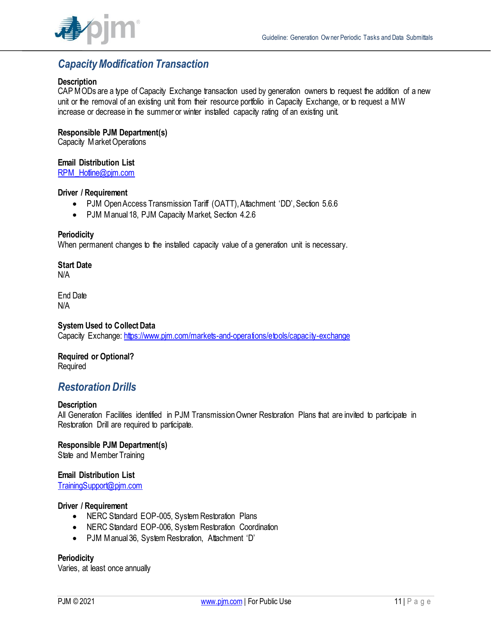

# <span id="page-13-0"></span>*Capacity Modification Transaction*

#### **Description**

CAP MODs are a type of Capacity Exchange transaction used by generation owners to request the addition of a new unit or the removal of an existing unit from their resource portfolio in Capacity Exchange, or to request a MW increase or decrease in the summer or winter installed capacity rating of an existing unit.

#### **Responsible PJM Department(s)**

Capacity Market Operations

#### **Email Distribution List**

[RPM\\_Hotline@pjm.com](mailto:RPM_Hotline@pjm.com)

#### **Driver / Requirement**

- PJM Open Access Transmission Tariff (OATT), Attachment 'DD', Section 5.6.6
- PJM Manual 18, PJM Capacity Market, Section 4.2.6

#### **Periodicity**

When permanent changes to the installed capacity value of a generation unit is necessary.

### **Start Date**

N/A

End Date N/A

#### **System Used to Collect Data**

Capacity Exchange[: https://www.pjm.com/markets-and-operations/etools/capacity-exchange](https://www.pjm.com/markets-and-operations/etools/capacity-exchange)

# **Required or Optional?**

<span id="page-13-1"></span>Required

# *Restoration Drills*

#### **Description**

All Generation Facilities identified in PJM Transmission Owner Restoration Plans that are invited to participate in Restoration Drill are required to participate.

**Responsible PJM Department(s)** State and Member Training

#### **Email Distribution List**

[TrainingSupport@pjm.com](mailto:TrainingSupport@pjm.com)

#### **Driver / Requirement**

- NERC Standard EOP-005, System Restoration Plans
- NERC Standard EOP-006, System Restoration Coordination
- PJM Manual 36, System Restoration, Attachment 'D'

**Periodicity**

Varies, at least once annually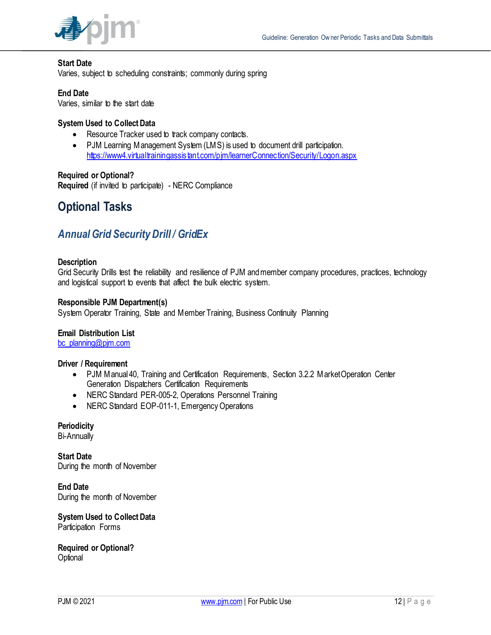

#### **Start Date**

Varies, subject to scheduling constraints; commonly during spring

#### **End Date**

Varies, similar to the start date

#### **System Used to Collect Data**

- Resource Tracker used to track company contacts.
- PJM Learning Management System (LMS) is used to document drill participation. <https://www4.virtualtrainingassistant.com/pjm/learnerConnection/Security/Logon.aspx>

#### **Required or Optional?**

<span id="page-14-0"></span>**Required** (if invited to participate) - NERC Compliance

# **Optional Tasks**

# <span id="page-14-1"></span>*Annual Grid Security Drill / GridEx*

#### **Description**

Grid Security Drills test the reliability and resilience of PJM and member company procedures, practices, technology and logistical support to events that affect the bulk electric system.

#### **Responsible PJM Department(s)**

System Operator Training, State and Member Training, Business Continuity Planning

#### **Email Distribution List**

bc\_planning@pim.com

#### **Driver / Requirement**

- PJM Manual 40, Training and Certification Requirements, Section 3.2.2 Market Operation Center Generation Dispatchers Certification Requirements
- NERC Standard PER-005-2, Operations Personnel Training
- NERC Standard EOP-011-1, Emergency Operations

#### **Periodicity**

Bi-Annually

**Start Date** During the month of November

**End Date** During the month of November

# **System Used to Collect Data**

Participation Forms

#### **Required or Optional? Optional**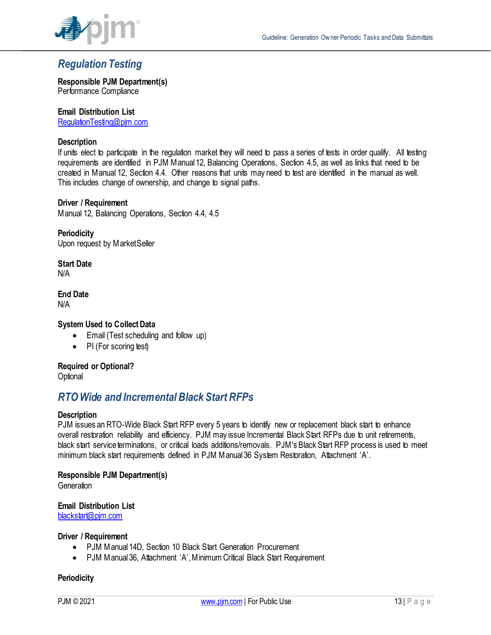

# <span id="page-15-0"></span>*Regulation Testing*

**Responsible PJM Department(s)** Performance Compliance

#### **Email Distribution List**

[RegulationTesting@pjm.com](mailto:RegulationTesting@pjm.com)

#### **Description**

If units elect to participate in the regulation market they will need to pass a series of tests in order qualify. All testing requirements are identified in PJM Manual 12, Balancing Operations, Section 4.5, as well as links that need to be created in Manual 12, Section 4.4. Other reasons that units may need to test are identified in the manual as well. This includes change of ownership, and change to signal paths.

#### **Driver / Requirement**

Manual 12, Balancing Operations, Section 4.4, 4.5

**Periodicity** Upon request by Market Seller

**Start Date** N/A

**End Date** N/A

#### **System Used to Collect Data**

- Email (Test scheduling and follow up)
- $\bullet$  PI (For scoring test)

#### **Required or Optional?**

<span id="page-15-1"></span>**Optional** 

### *RTO Wide and Incremental Black Start RFPs*

#### **Description**

PJM issues an RTO-Wide Black Start RFP every 5 years to identify new or replacement black start to enhance overall restoration reliability and efficiency. PJM may issue Incremental Black Start RFPs due to unit retirements, black start service terminations, or critical loads additions/removals. PJM's Black Start RFP process is used to meet minimum black start requirements defined in PJM Manual 36 System Restoration, Attachment 'A'.

#### **Responsible PJM Department(s)**

**Generation** 

#### **Email Distribution List**

[blackstart@pjm.com](mailto:blackstart@pjm.com)

#### **Driver / Requirement**

- PJM Manual 14D, Section 10 Black Start Generation Procurement
- PJM Manual 36, Attachment 'A', Minimum Critical Black Start Requirement

#### **Periodicity**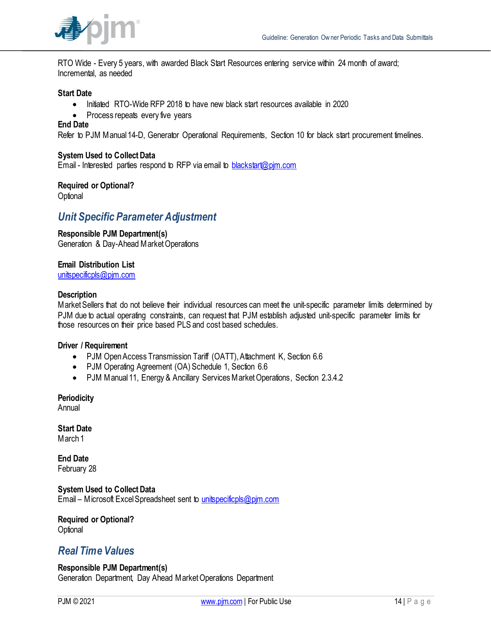

RTO Wide - Every 5 years, with awarded Black Start Resources entering service within 24 month of award; Incremental, as needed

#### **Start Date**

- $\bullet$  Initiated RTO-Wide RFP 2018 to have new black start resources available in 2020
- Process repeats every five years

#### **End Date**

Refer to PJM Manual 14-D, Generator Operational Requirements, Section 10 for black start procurement timelines.

#### **System Used to Collect Data**

Email - Interested parties respond to RFP via email to **blackstart@pjm.com** 

#### **Required or Optional?**

<span id="page-16-0"></span>**Optional** 

### *Unit Specific Parameter Adjustment*

**Responsible PJM Department(s)** Generation & Day-Ahead Market Operations

#### **Email Distribution List**

unitspecificpls@pim.com

#### **Description**

Market Sellers that do not believe their individual resources can meet the unit-specific parameter limits determined by PJM due to actual operating constraints, can request that PJM establish adjusted unit-specific parameter limits for those resources on their price based PLS and cost based schedules.

#### **Driver / Requirement**

- PJM Open Access Transmission Tariff (OATT), Attachment K, Section 6.6
- PJM Operating Agreement (OA) Schedule 1, Section 6.6
- PJM Manual 11, Energy & Ancillary Services Market Operations, Section 2.3.4.2

**Periodicity**

Annual

**Start Date** March 1

**End Date** February 28

**System Used to Collect Data** Email – Microsoft Excel Spreadsheet sent to [unitspecificpls@pjm.com](mailto:unitspecificpls@pjm.com)

**Required or Optional? Optional** 

# <span id="page-16-1"></span>*Real Time Values*

#### **Responsible PJM Department(s)**

Generation Department, Day Ahead Market Operations Department